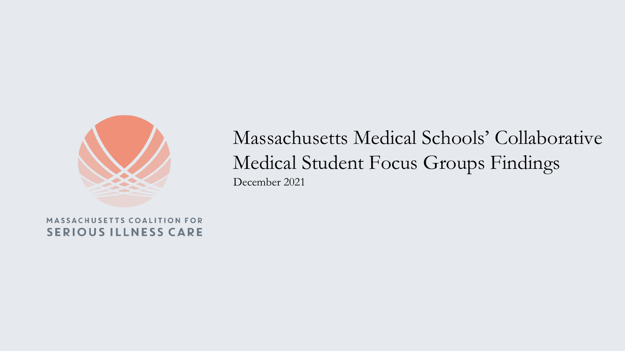

## Massachusetts Medical Schools' Collaborative Medical Student Focus Groups Findings December 2021

MASSACHUSETTS COALITION FOR **SERIOUS ILLNESS CARE**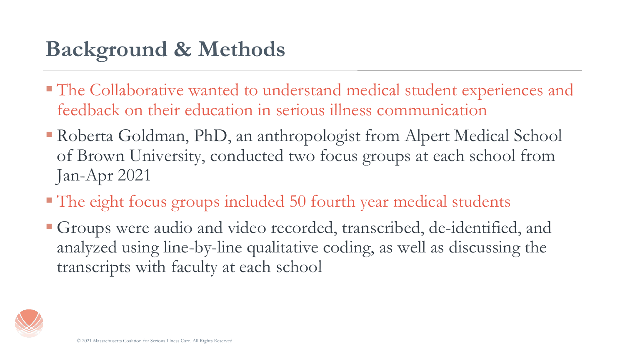## **Background & Methods**

- The Collaborative wanted to understand medical student experiences and feedback on their education in serious illness communication
- **Roberta Goldman, PhD, an anthropologist from Alpert Medical School** of Brown University, conducted two focus groups at each school from Jan-Apr 2021
- The eight focus groups included 50 fourth year medical students
- Groups were audio and video recorded, transcribed, de-identified, and analyzed using line-by-line qualitative coding, as well as discussing the transcripts with faculty at each school

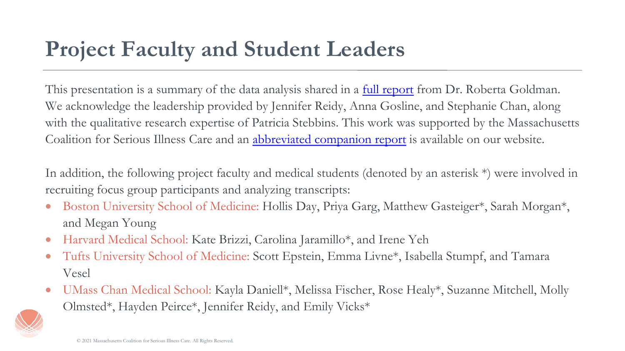This presentation is a summary of the data analysis shared in a [full report](https://www.maseriouscare.org/sites/g/files/csphws2336/files/2021-12/MCSIC Exploratory Qualitative Four School Focus Group Study Report.pdf) from Dr. Roberta Goldman. We acknowledge the leadership provided by Jennifer Reidy, Anna Gosline, and Stephanie Chan, along with the qualitative research expertise of Patricia Stebbins. This work was supported by the Massachusetts Coalition for Serious Illness Care and an [abbreviated companion report](https://www.maseriouscare.org/sites/g/files/csphws2336/files/2021-12/MCSIC Statewide Student Focus Group Report Dec 2021.pdf) is available on our website.

In addition, the following project faculty and medical students (denoted by an asterisk \*) were involved in recruiting focus group participants and analyzing transcripts:

- Boston University School of Medicine: Hollis Day, Priya Garg, Matthew Gasteiger<sup>\*</sup>, Sarah Morgan<sup>\*</sup>, and Megan Young
- Harvard Medical School: Kate Brizzi, Carolina Jaramillo\*, and Irene Yeh
- Tufts University School of Medicine: Scott Epstein, Emma Livne<sup>\*</sup>, Isabella Stumpf, and Tamara Vesel
- UMass Chan Medical School: Kayla Daniell\*, Melissa Fischer, Rose Healy\*, Suzanne Mitchell, Molly Olmsted\*, Hayden Peirce\*, Jennifer Reidy, and Emily Vicks\*

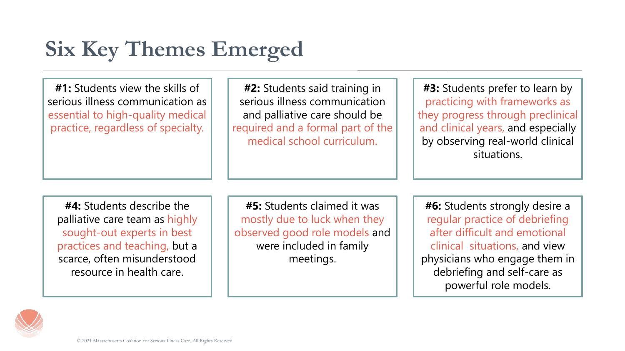## **Six Key Themes Emerged**

**#1:** Students view the skills of serious illness communication as essential to high-quality medical practice, regardless of specialty.

**#2:** Students said training in serious illness communication and palliative care should be required and a formal part of the medical school curriculum.

**#3:** Students prefer to learn by practicing with frameworks as they progress through preclinical and clinical years, and especially by observing real-world clinical situations.

**#4:** Students describe the palliative care team as highly sought-out experts in best practices and teaching, but a scarce, often misunderstood resource in health care.

**#5:** Students claimed it was mostly due to luck when they observed good role models and were included in family meetings.

**#6:** Students strongly desire a regular practice of debriefing after difficult and emotional clinical situations, and view physicians who engage them in debriefing and self-care as powerful role models.

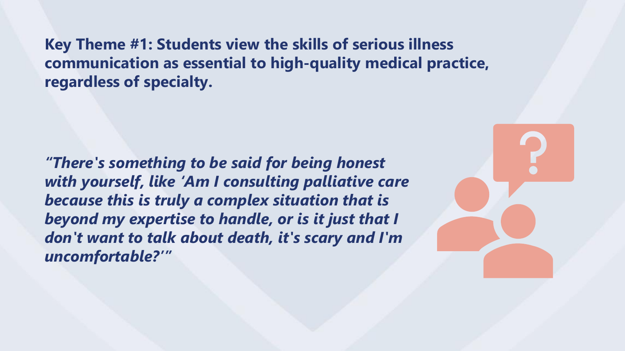**Key Theme #1: Students view the skills of serious illness communication as essential to high-quality medical practice, regardless of specialty.**

*"There's something to be said for being honest with yourself, like 'Am I consulting palliative care because this is truly a complex situation that is beyond my expertise to handle, or is it just that I don't want to talk about death, it's scary and I'm uncomfortable?'"*

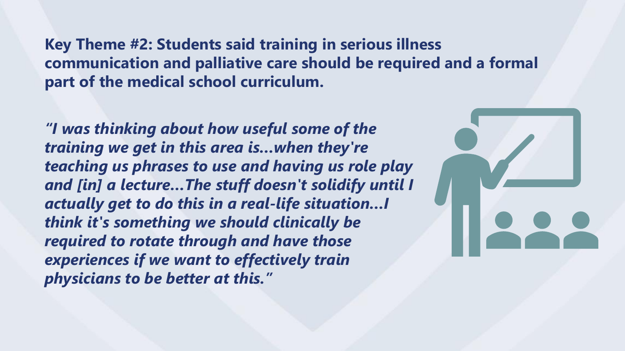**Key Theme #2: Students said training in serious illness communication and palliative care should be required and a formal part of the medical school curriculum.**

*"I was thinking about how useful some of the training we get in this area is…when they're teaching us phrases to use and having us role play and [in] a lecture…The stuff doesn't solidify until I actually get to do this in a real-life situation…I think it's something we should clinically be required to rotate through and have those experiences if we want to effectively train physicians to be better at this."*

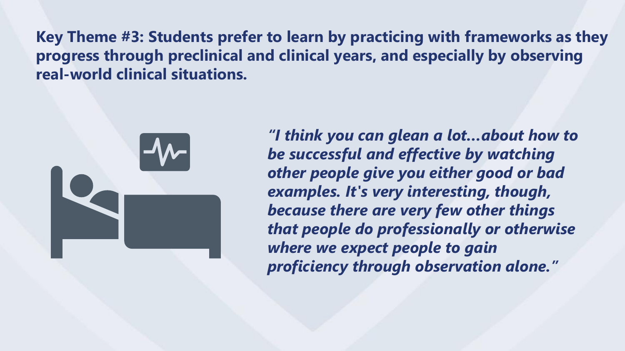**Key Theme #3: Students prefer to learn by practicing with frameworks as they progress through preclinical and clinical years, and especially by observing real-world clinical situations.**



*"I think you can glean a lot…about how to be successful and effective by watching other people give you either good or bad examples. It's very interesting, though, because there are very few other things that people do professionally or otherwise where we expect people to gain proficiency through observation alone."*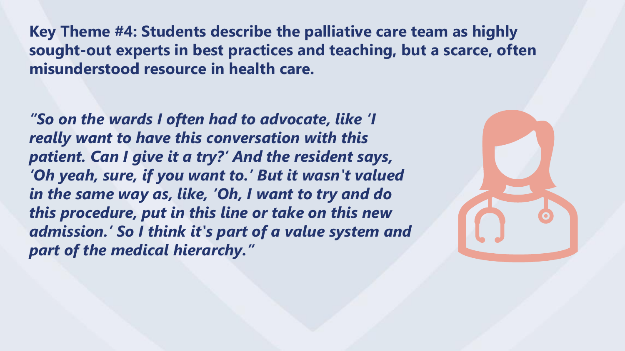**Key Theme #4: Students describe the palliative care team as highly sought-out experts in best practices and teaching, but a scarce, often misunderstood resource in health care.**

*"So on the wards I often had to advocate, like 'I really want to have this conversation with this patient. Can I give it a try?' And the resident says, 'Oh yeah, sure, if you want to.' But it wasn't valued in the same way as, like, 'Oh, I want to try and do this procedure, put in this line or take on this new admission.' So I think it's part of a value system and part of the medical hierarchy."*

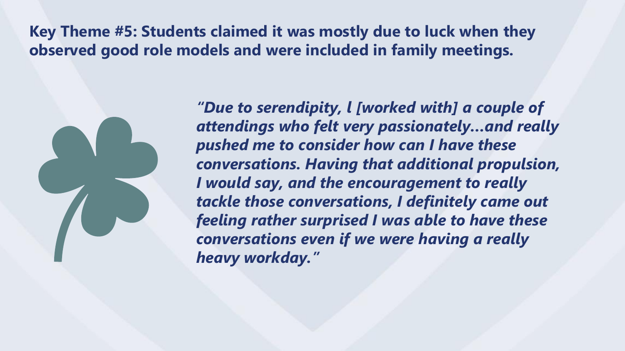**Key Theme #5: Students claimed it was mostly due to luck when they observed good role models and were included in family meetings.**

*"Due to serendipity, l [worked with] a couple of attendings who felt very passionately…and really pushed me to consider how can I have these conversations. Having that additional propulsion, I would say, and the encouragement to really tackle those conversations, I definitely came out feeling rather surprised I was able to have these conversations even if we were having a really heavy workday."*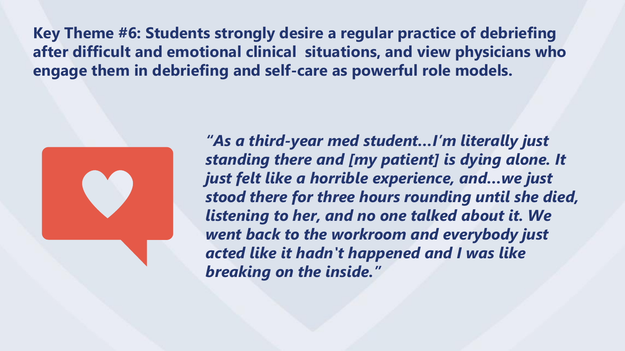**Key Theme #6: Students strongly desire a regular practice of debriefing after difficult and emotional clinical situations, and view physicians who engage them in debriefing and self-care as powerful role models.** 



*"As a third-year med student…I'm literally just standing there and [my patient] is dying alone. It just felt like a horrible experience, and…we just stood there for three hours rounding until she died, listening to her, and no one talked about it. We went back to the workroom and everybody just acted like it hadn't happened and I was like breaking on the inside."*